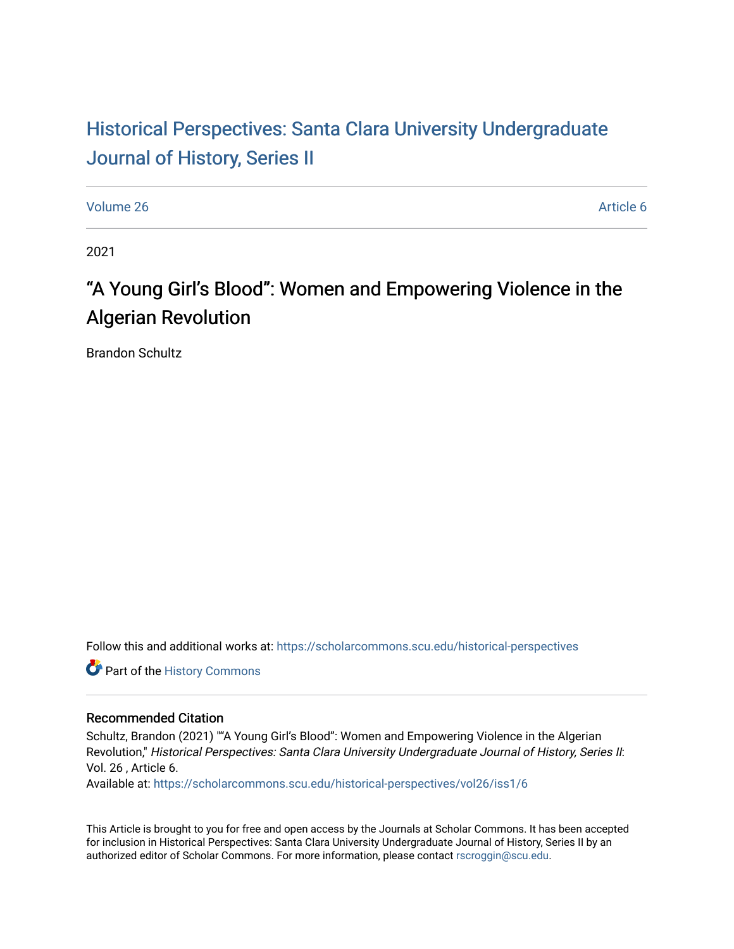## Historical Perspectiv[es: Santa Clara University Under](https://scholarcommons.scu.edu/historical-perspectives)graduate [Journal of History, Series II](https://scholarcommons.scu.edu/historical-perspectives)

[Volume 26](https://scholarcommons.scu.edu/historical-perspectives/vol26) Article 6

2021

# "A Young Girl's Blood": Women and Empowering Violence in the Algerian Revolution

Brandon Schultz

Follow this and additional works at: [https://scholarcommons.scu.edu/historical-perspectives](https://scholarcommons.scu.edu/historical-perspectives?utm_source=scholarcommons.scu.edu%2Fhistorical-perspectives%2Fvol26%2Fiss1%2F6&utm_medium=PDF&utm_campaign=PDFCoverPages) 

Part of the [History Commons](http://network.bepress.com/hgg/discipline/489?utm_source=scholarcommons.scu.edu%2Fhistorical-perspectives%2Fvol26%2Fiss1%2F6&utm_medium=PDF&utm_campaign=PDFCoverPages) 

#### Recommended Citation

Schultz, Brandon (2021) ""A Young Girl's Blood": Women and Empowering Violence in the Algerian Revolution," Historical Perspectives: Santa Clara University Undergraduate Journal of History, Series II: Vol. 26 , Article 6.

Available at: [https://scholarcommons.scu.edu/historical-perspectives/vol26/iss1/6](https://scholarcommons.scu.edu/historical-perspectives/vol26/iss1/6?utm_source=scholarcommons.scu.edu%2Fhistorical-perspectives%2Fvol26%2Fiss1%2F6&utm_medium=PDF&utm_campaign=PDFCoverPages) 

This Article is brought to you for free and open access by the Journals at Scholar Commons. It has been accepted for inclusion in Historical Perspectives: Santa Clara University Undergraduate Journal of History, Series II by an authorized editor of Scholar Commons. For more information, please contact [rscroggin@scu.edu](mailto:rscroggin@scu.edu).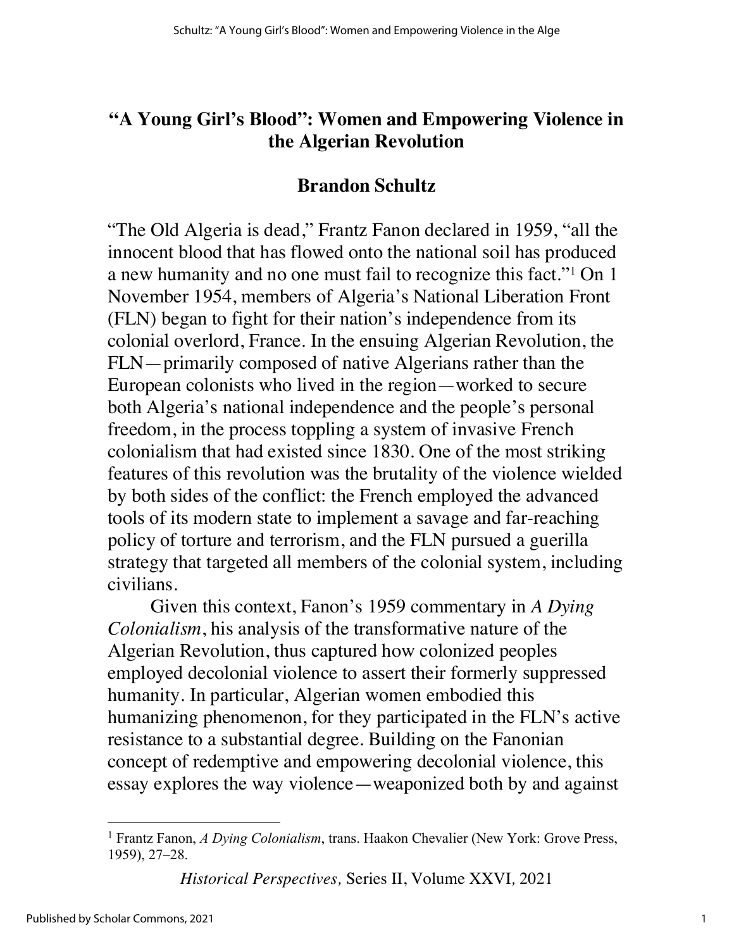#### **"A Young Girl's Blood": Women and Empowering Violence in the Algerian Revolution**

#### **Brandon Schultz**

"The Old Algeria is dead," Frantz Fanon declared in 1959, "all the innocent blood that has flowed onto the national soil has produced a new humanity and no one must fail to recognize this fact."1 On 1 November 1954, members of Algeria's National Liberation Front (FLN) began to fight for their nation's independence from its colonial overlord, France. In the ensuing Algerian Revolution, the FLN—primarily composed of native Algerians rather than the European colonists who lived in the region—worked to secure both Algeria's national independence and the people's personal freedom, in the process toppling a system of invasive French colonialism that had existed since 1830. One of the most striking features of this revolution was the brutality of the violence wielded by both sides of the conflict: the French employed the advanced tools of its modern state to implement a savage and far-reaching policy of torture and terrorism, and the FLN pursued a guerilla strategy that targeted all members of the colonial system, including civilians.

Given this context, Fanon's 1959 commentary in *A Dying Colonialism*, his analysis of the transformative nature of the Algerian Revolution, thus captured how colonized peoples employed decolonial violence to assert their formerly suppressed humanity. In particular, Algerian women embodied this humanizing phenomenon, for they participated in the FLN's active resistance to a substantial degree. Building on the Fanonian concept of redemptive and empowering decolonial violence, this essay explores the way violence—weaponized both by and against

<sup>1</sup> Frantz Fanon, *A Dying Colonialism*, trans. Haakon Chevalier (New York: Grove Press, 1959), 27–28.

*Historical Perspectives,* Series II, Volume XXVI*,* 2021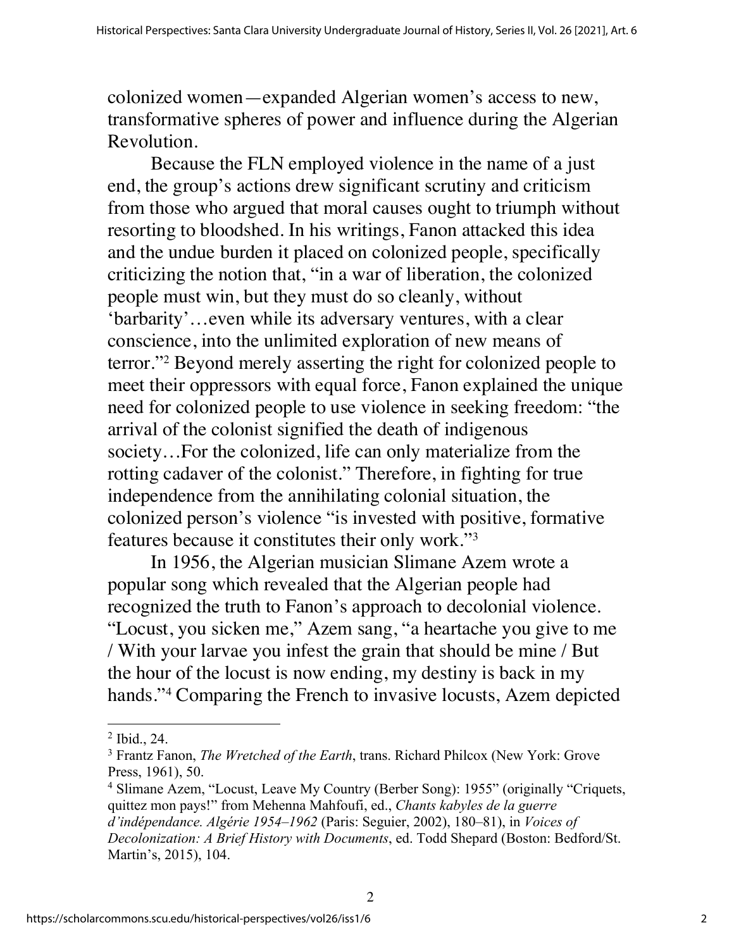colonized women—expanded Algerian women's access to new, transformative spheres of power and influence during the Algerian Revolution.

Because the FLN employed violence in the name of a just end, the group's actions drew significant scrutiny and criticism from those who argued that moral causes ought to triumph without resorting to bloodshed. In his writings, Fanon attacked this idea and the undue burden it placed on colonized people, specifically criticizing the notion that, "in a war of liberation, the colonized people must win, but they must do so cleanly, without 'barbarity'…even while its adversary ventures, with a clear conscience, into the unlimited exploration of new means of terror."2 Beyond merely asserting the right for colonized people to meet their oppressors with equal force, Fanon explained the unique need for colonized people to use violence in seeking freedom: "the arrival of the colonist signified the death of indigenous society…For the colonized, life can only materialize from the rotting cadaver of the colonist." Therefore, in fighting for true independence from the annihilating colonial situation, the colonized person's violence "is invested with positive, formative features because it constitutes their only work."3

In 1956, the Algerian musician Slimane Azem wrote a popular song which revealed that the Algerian people had recognized the truth to Fanon's approach to decolonial violence. "Locust, you sicken me," Azem sang, "a heartache you give to me / With your larvae you infest the grain that should be mine / But the hour of the locust is now ending, my destiny is back in my hands."4 Comparing the French to invasive locusts, Azem depicted

<sup>2</sup> Ibid., 24.

<sup>3</sup> Frantz Fanon, *The Wretched of the Earth*, trans. Richard Philcox (New York: Grove Press, 1961), 50.

<sup>&</sup>lt;sup>4</sup> Slimane Azem, "Locust, Leave My Country (Berber Song): 1955" (originally "Criquets, quittez mon pays!" from Mehenna Mahfoufi, ed., *Chants kabyles de la guerre d'indépendance. Algérie 1954–1962* (Paris: Seguier, 2002), 180–81), in *Voices of Decolonization: A Brief History with Documents*, ed. Todd Shepard (Boston: Bedford/St. Martin's, 2015), 104.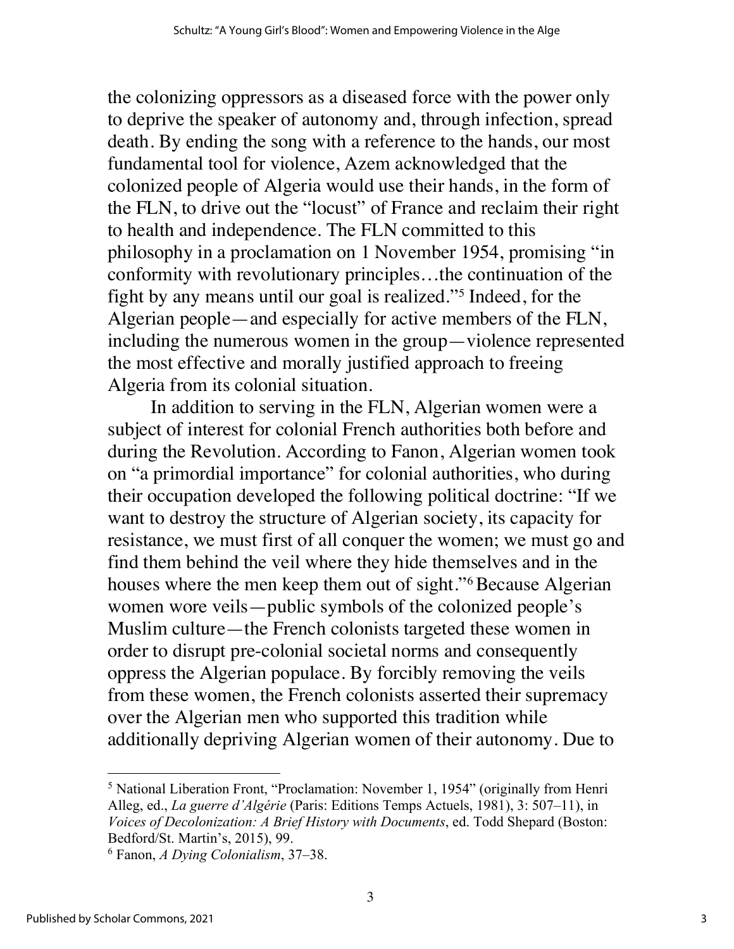the colonizing oppressors as a diseased force with the power only to deprive the speaker of autonomy and, through infection, spread death. By ending the song with a reference to the hands, our most fundamental tool for violence, Azem acknowledged that the colonized people of Algeria would use their hands, in the form of the FLN, to drive out the "locust" of France and reclaim their right to health and independence. The FLN committed to this philosophy in a proclamation on 1 November 1954, promising "in conformity with revolutionary principles…the continuation of the fight by any means until our goal is realized."5 Indeed, for the Algerian people—and especially for active members of the FLN, including the numerous women in the group—violence represented the most effective and morally justified approach to freeing Algeria from its colonial situation.

In addition to serving in the FLN, Algerian women were a subject of interest for colonial French authorities both before and during the Revolution. According to Fanon, Algerian women took on "a primordial importance" for colonial authorities, who during their occupation developed the following political doctrine: "If we want to destroy the structure of Algerian society, its capacity for resistance, we must first of all conquer the women; we must go and find them behind the veil where they hide themselves and in the houses where the men keep them out of sight."<sup>6</sup>Because Algerian women wore veils—public symbols of the colonized people's Muslim culture—the French colonists targeted these women in order to disrupt pre-colonial societal norms and consequently oppress the Algerian populace. By forcibly removing the veils from these women, the French colonists asserted their supremacy over the Algerian men who supported this tradition while additionally depriving Algerian women of their autonomy. Due to

<sup>5</sup> National Liberation Front, "Proclamation: November 1, 1954" (originally from Henri Alleg, ed., *La guerre d'Algérie* (Paris: Editions Temps Actuels, 1981), 3: 507–11), in *Voices of Decolonization: A Brief History with Documents*, ed. Todd Shepard (Boston: Bedford/St. Martin's, 2015), 99.

<sup>6</sup> Fanon, *A Dying Colonialism*, 37–38.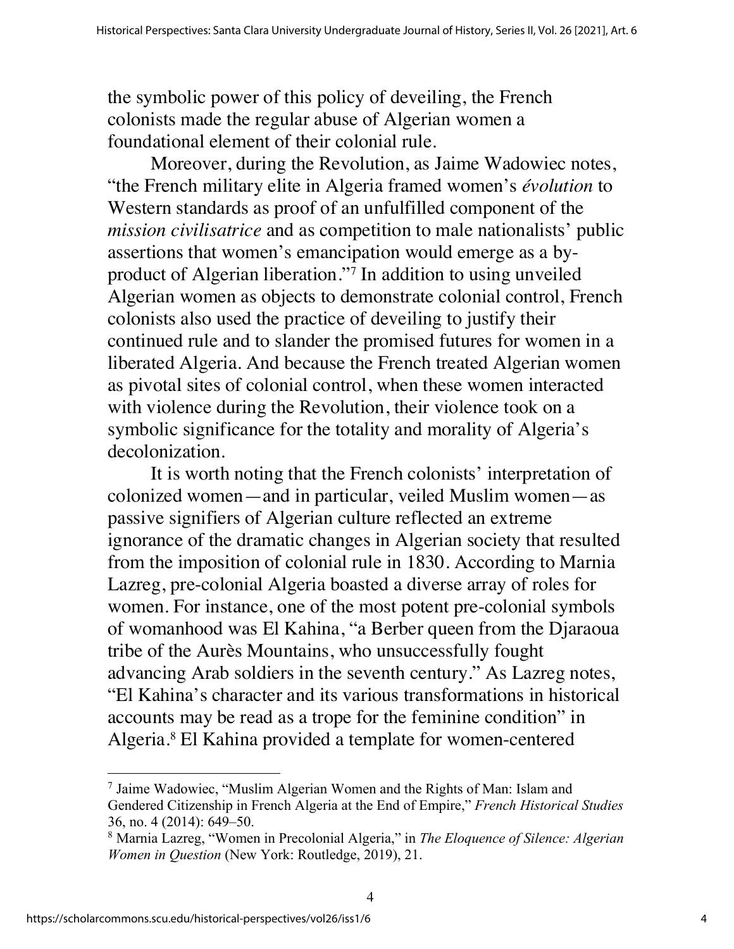the symbolic power of this policy of deveiling, the French colonists made the regular abuse of Algerian women a foundational element of their colonial rule.

Moreover, during the Revolution, as Jaime Wadowiec notes, "the French military elite in Algeria framed women's *évolution* to Western standards as proof of an unfulfilled component of the *mission civilisatrice* and as competition to male nationalists' public assertions that women's emancipation would emerge as a byproduct of Algerian liberation."7 In addition to using unveiled Algerian women as objects to demonstrate colonial control, French colonists also used the practice of deveiling to justify their continued rule and to slander the promised futures for women in a liberated Algeria. And because the French treated Algerian women as pivotal sites of colonial control, when these women interacted with violence during the Revolution, their violence took on a symbolic significance for the totality and morality of Algeria's decolonization.

It is worth noting that the French colonists' interpretation of colonized women—and in particular, veiled Muslim women—as passive signifiers of Algerian culture reflected an extreme ignorance of the dramatic changes in Algerian society that resulted from the imposition of colonial rule in 1830. According to Marnia Lazreg, pre-colonial Algeria boasted a diverse array of roles for women. For instance, one of the most potent pre-colonial symbols of womanhood was El Kahina, "a Berber queen from the Djaraoua tribe of the Aurès Mountains, who unsuccessfully fought advancing Arab soldiers in the seventh century." As Lazreg notes, "El Kahina's character and its various transformations in historical accounts may be read as a trope for the feminine condition" in Algeria.8 El Kahina provided a template for women-centered

<sup>7</sup> Jaime Wadowiec, "Muslim Algerian Women and the Rights of Man: Islam and Gendered Citizenship in French Algeria at the End of Empire," *French Historical Studies* 36, no. 4 (2014): 649–50.

<sup>8</sup> Marnia Lazreg, "Women in Precolonial Algeria," in *The Eloquence of Silence: Algerian Women in Question* (New York: Routledge, 2019), 21.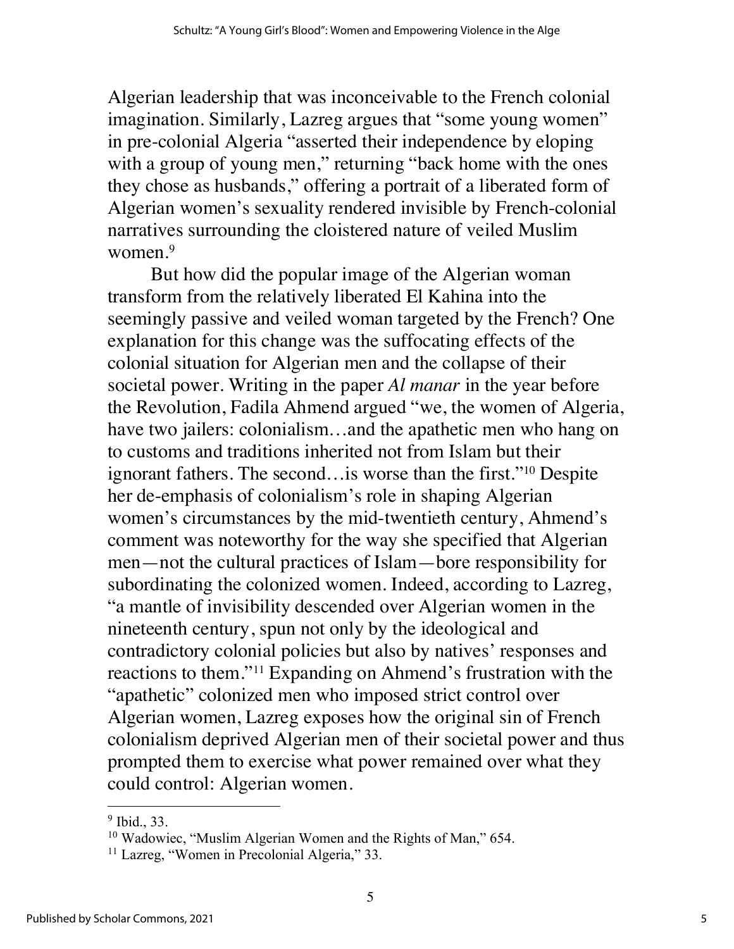Algerian leadership that was inconceivable to the French colonial imagination. Similarly, Lazreg argues that "some young women" in pre-colonial Algeria "asserted their independence by eloping with a group of young men," returning "back home with the ones they chose as husbands," offering a portrait of a liberated form of Algerian women's sexuality rendered invisible by French-colonial narratives surrounding the cloistered nature of veiled Muslim women.<sup>9</sup>

But how did the popular image of the Algerian woman transform from the relatively liberated El Kahina into the seemingly passive and veiled woman targeted by the French? One explanation for this change was the suffocating effects of the colonial situation for Algerian men and the collapse of their societal power. Writing in the paper *Al manar* in the year before the Revolution, Fadila Ahmend argued "we, the women of Algeria, have two jailers: colonialism...and the apathetic men who hang on to customs and traditions inherited not from Islam but their ignorant fathers. The second…is worse than the first."10 Despite her de-emphasis of colonialism's role in shaping Algerian women's circumstances by the mid-twentieth century, Ahmend's comment was noteworthy for the way she specified that Algerian men—not the cultural practices of Islam—bore responsibility for subordinating the colonized women. Indeed, according to Lazreg, "a mantle of invisibility descended over Algerian women in the nineteenth century, spun not only by the ideological and contradictory colonial policies but also by natives' responses and reactions to them."11 Expanding on Ahmend's frustration with the "apathetic" colonized men who imposed strict control over Algerian women, Lazreg exposes how the original sin of French colonialism deprived Algerian men of their societal power and thus prompted them to exercise what power remained over what they could control: Algerian women.

 $<sup>9</sup>$  Ibid., 33.</sup>

<sup>&</sup>lt;sup>10</sup> Wadowiec, "Muslim Algerian Women and the Rights of Man," 654.

<sup>&</sup>lt;sup>11</sup> Lazreg, "Women in Precolonial Algeria," 33.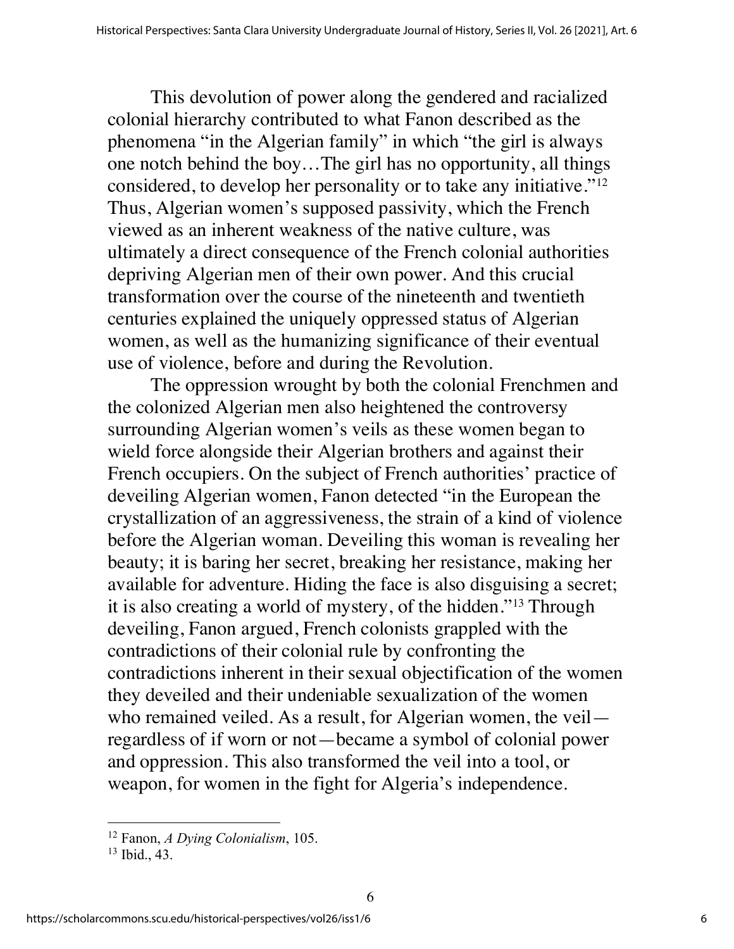This devolution of power along the gendered and racialized colonial hierarchy contributed to what Fanon described as the phenomena "in the Algerian family" in which "the girl is always one notch behind the boy…The girl has no opportunity, all things considered, to develop her personality or to take any initiative."12 Thus, Algerian women's supposed passivity, which the French viewed as an inherent weakness of the native culture, was ultimately a direct consequence of the French colonial authorities depriving Algerian men of their own power. And this crucial transformation over the course of the nineteenth and twentieth centuries explained the uniquely oppressed status of Algerian women, as well as the humanizing significance of their eventual use of violence, before and during the Revolution.

The oppression wrought by both the colonial Frenchmen and the colonized Algerian men also heightened the controversy surrounding Algerian women's veils as these women began to wield force alongside their Algerian brothers and against their French occupiers. On the subject of French authorities' practice of deveiling Algerian women, Fanon detected "in the European the crystallization of an aggressiveness, the strain of a kind of violence before the Algerian woman. Deveiling this woman is revealing her beauty; it is baring her secret, breaking her resistance, making her available for adventure. Hiding the face is also disguising a secret; it is also creating a world of mystery, of the hidden."13 Through deveiling, Fanon argued, French colonists grappled with the contradictions of their colonial rule by confronting the contradictions inherent in their sexual objectification of the women they deveiled and their undeniable sexualization of the women who remained veiled. As a result, for Algerian women, the veil regardless of if worn or not—became a symbol of colonial power and oppression. This also transformed the veil into a tool, or weapon, for women in the fight for Algeria's independence.

<sup>12</sup> Fanon, *A Dying Colonialism*, 105.

<sup>13</sup> Ibid., 43.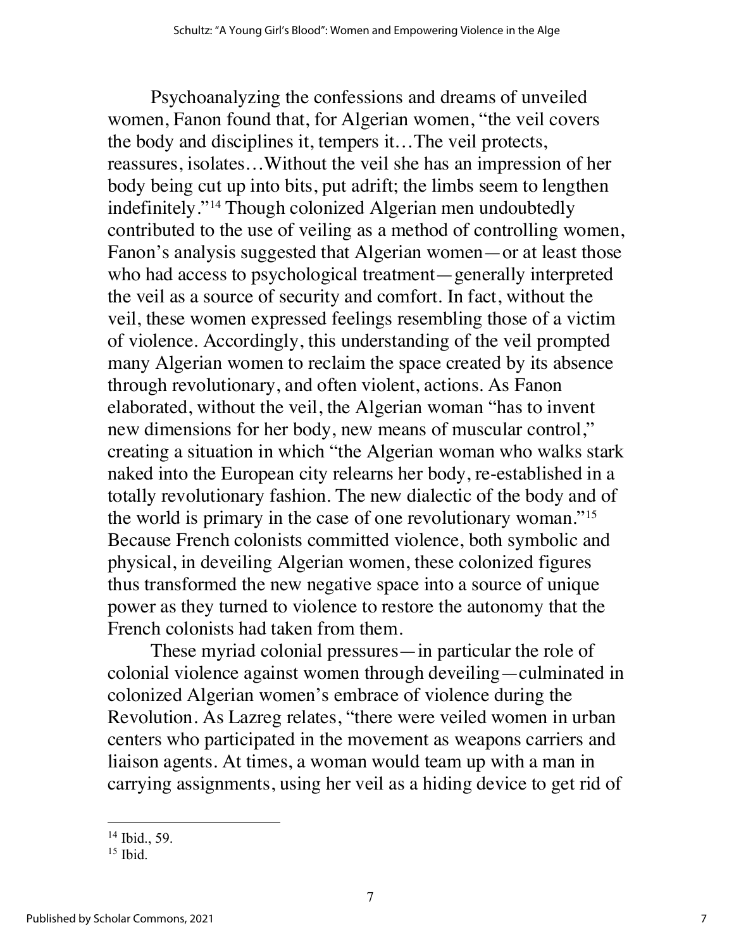Psychoanalyzing the confessions and dreams of unveiled women, Fanon found that, for Algerian women, "the veil covers the body and disciplines it, tempers it…The veil protects, reassures, isolates…Without the veil she has an impression of her body being cut up into bits, put adrift; the limbs seem to lengthen indefinitely."14 Though colonized Algerian men undoubtedly contributed to the use of veiling as a method of controlling women, Fanon's analysis suggested that Algerian women—or at least those who had access to psychological treatment—generally interpreted the veil as a source of security and comfort. In fact, without the veil, these women expressed feelings resembling those of a victim of violence. Accordingly, this understanding of the veil prompted many Algerian women to reclaim the space created by its absence through revolutionary, and often violent, actions. As Fanon elaborated, without the veil, the Algerian woman "has to invent new dimensions for her body, new means of muscular control," creating a situation in which "the Algerian woman who walks stark naked into the European city relearns her body, re-established in a totally revolutionary fashion. The new dialectic of the body and of the world is primary in the case of one revolutionary woman."15 Because French colonists committed violence, both symbolic and physical, in deveiling Algerian women, these colonized figures thus transformed the new negative space into a source of unique power as they turned to violence to restore the autonomy that the French colonists had taken from them.

These myriad colonial pressures—in particular the role of colonial violence against women through deveiling—culminated in colonized Algerian women's embrace of violence during the Revolution. As Lazreg relates, "there were veiled women in urban centers who participated in the movement as weapons carriers and liaison agents. At times, a woman would team up with a man in carrying assignments, using her veil as a hiding device to get rid of

<sup>14</sup> Ibid., 59.

 $15$  Ibid.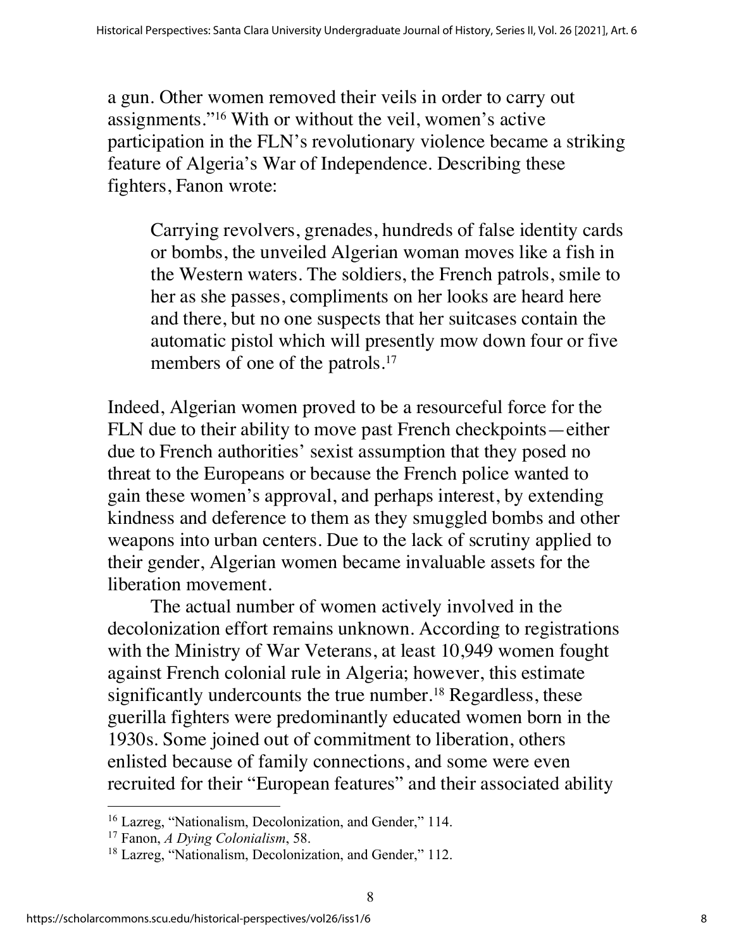a gun. Other women removed their veils in order to carry out assignments."16 With or without the veil, women's active participation in the FLN's revolutionary violence became a striking feature of Algeria's War of Independence. Describing these fighters, Fanon wrote:

Carrying revolvers, grenades, hundreds of false identity cards or bombs, the unveiled Algerian woman moves like a fish in the Western waters. The soldiers, the French patrols, smile to her as she passes, compliments on her looks are heard here and there, but no one suspects that her suitcases contain the automatic pistol which will presently mow down four or five members of one of the patrols.<sup>17</sup>

Indeed, Algerian women proved to be a resourceful force for the FLN due to their ability to move past French checkpoints—either due to French authorities' sexist assumption that they posed no threat to the Europeans or because the French police wanted to gain these women's approval, and perhaps interest, by extending kindness and deference to them as they smuggled bombs and other weapons into urban centers. Due to the lack of scrutiny applied to their gender, Algerian women became invaluable assets for the liberation movement.

The actual number of women actively involved in the decolonization effort remains unknown. According to registrations with the Ministry of War Veterans, at least 10,949 women fought against French colonial rule in Algeria; however, this estimate significantly undercounts the true number.<sup>18</sup> Regardless, these guerilla fighters were predominantly educated women born in the 1930s. Some joined out of commitment to liberation, others enlisted because of family connections, and some were even recruited for their "European features" and their associated ability

<sup>16</sup> Lazreg, "Nationalism, Decolonization, and Gender," 114.

<sup>17</sup> Fanon, *A Dying Colonialism*, 58.

<sup>&</sup>lt;sup>18</sup> Lazreg, "Nationalism, Decolonization, and Gender," 112.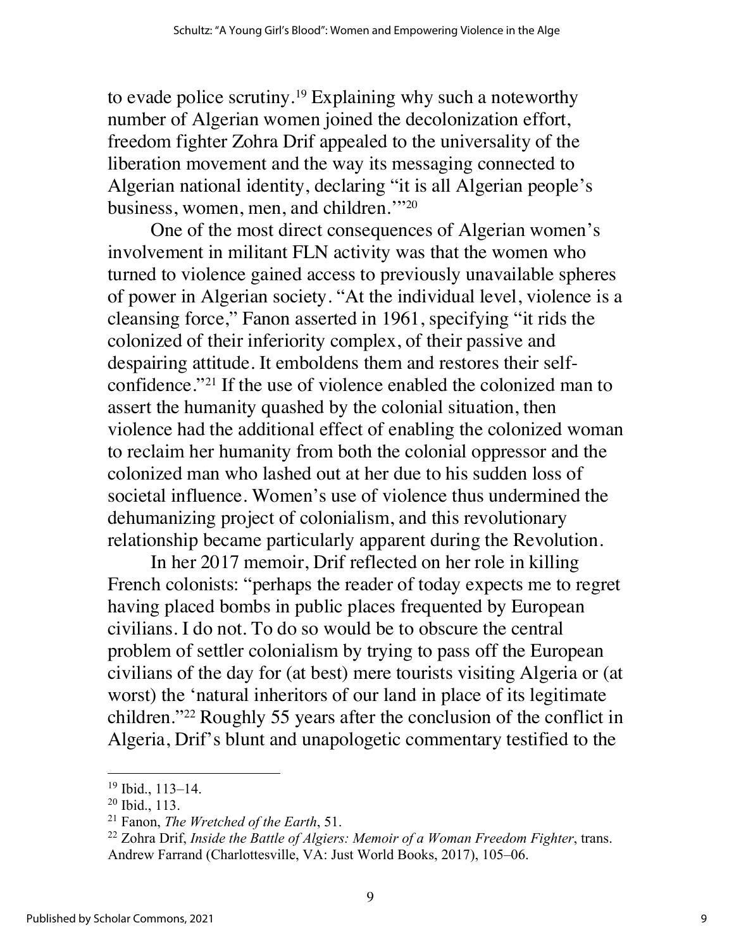to evade police scrutiny.19 Explaining why such a noteworthy number of Algerian women joined the decolonization effort, freedom fighter Zohra Drif appealed to the universality of the liberation movement and the way its messaging connected to Algerian national identity, declaring "it is all Algerian people's business, women, men, and children.'"20

One of the most direct consequences of Algerian women's involvement in militant FLN activity was that the women who turned to violence gained access to previously unavailable spheres of power in Algerian society. "At the individual level, violence is a cleansing force," Fanon asserted in 1961, specifying "it rids the colonized of their inferiority complex, of their passive and despairing attitude. It emboldens them and restores their selfconfidence."21 If the use of violence enabled the colonized man to assert the humanity quashed by the colonial situation, then violence had the additional effect of enabling the colonized woman to reclaim her humanity from both the colonial oppressor and the colonized man who lashed out at her due to his sudden loss of societal influence. Women's use of violence thus undermined the dehumanizing project of colonialism, and this revolutionary relationship became particularly apparent during the Revolution.

In her 2017 memoir, Drif reflected on her role in killing French colonists: "perhaps the reader of today expects me to regret having placed bombs in public places frequented by European civilians. I do not. To do so would be to obscure the central problem of settler colonialism by trying to pass off the European civilians of the day for (at best) mere tourists visiting Algeria or (at worst) the 'natural inheritors of our land in place of its legitimate children."22 Roughly 55 years after the conclusion of the conflict in Algeria, Drif's blunt and unapologetic commentary testified to the

<sup>19</sup> Ibid., 113–14.

<sup>20</sup> Ibid., 113.

<sup>21</sup> Fanon, *The Wretched of the Earth*, 51.

<sup>22</sup> Zohra Drif, *Inside the Battle of Algiers: Memoir of a Woman Freedom Fighter*, trans. Andrew Farrand (Charlottesville, VA: Just World Books, 2017), 105–06.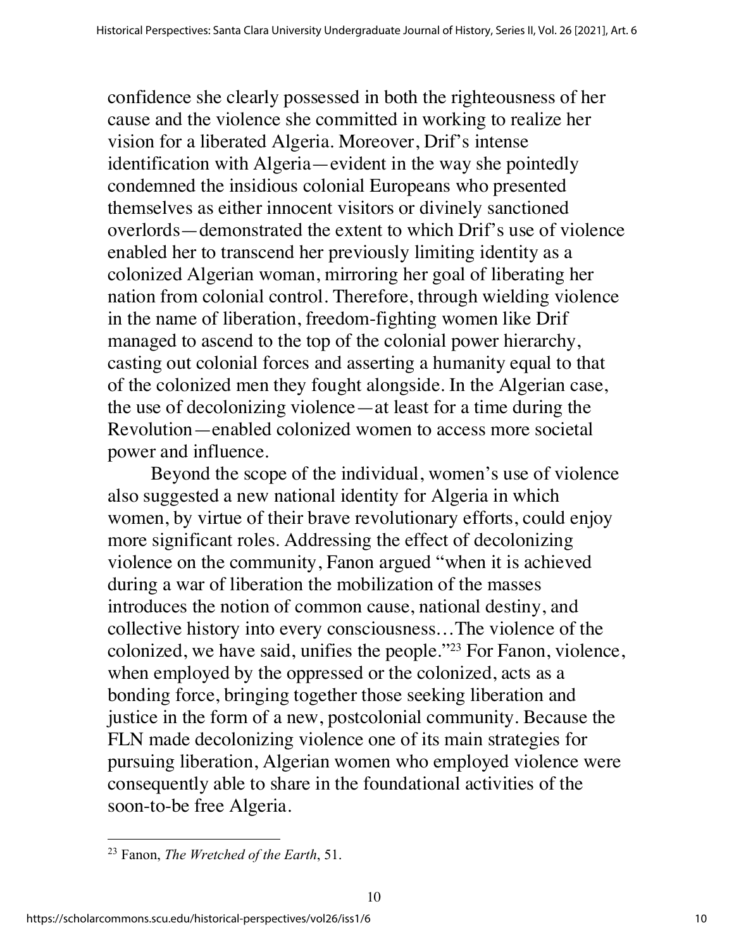confidence she clearly possessed in both the righteousness of her cause and the violence she committed in working to realize her vision for a liberated Algeria. Moreover, Drif's intense identification with Algeria—evident in the way she pointedly condemned the insidious colonial Europeans who presented themselves as either innocent visitors or divinely sanctioned overlords—demonstrated the extent to which Drif's use of violence enabled her to transcend her previously limiting identity as a colonized Algerian woman, mirroring her goal of liberating her nation from colonial control. Therefore, through wielding violence in the name of liberation, freedom-fighting women like Drif managed to ascend to the top of the colonial power hierarchy, casting out colonial forces and asserting a humanity equal to that of the colonized men they fought alongside. In the Algerian case, the use of decolonizing violence—at least for a time during the Revolution—enabled colonized women to access more societal power and influence.

Beyond the scope of the individual, women's use of violence also suggested a new national identity for Algeria in which women, by virtue of their brave revolutionary efforts, could enjoy more significant roles. Addressing the effect of decolonizing violence on the community, Fanon argued "when it is achieved during a war of liberation the mobilization of the masses introduces the notion of common cause, national destiny, and collective history into every consciousness…The violence of the colonized, we have said, unifies the people."23 For Fanon, violence, when employed by the oppressed or the colonized, acts as a bonding force, bringing together those seeking liberation and justice in the form of a new, postcolonial community. Because the FLN made decolonizing violence one of its main strategies for pursuing liberation, Algerian women who employed violence were consequently able to share in the foundational activities of the soon-to-be free Algeria.

<sup>23</sup> Fanon, *The Wretched of the Earth*, 51.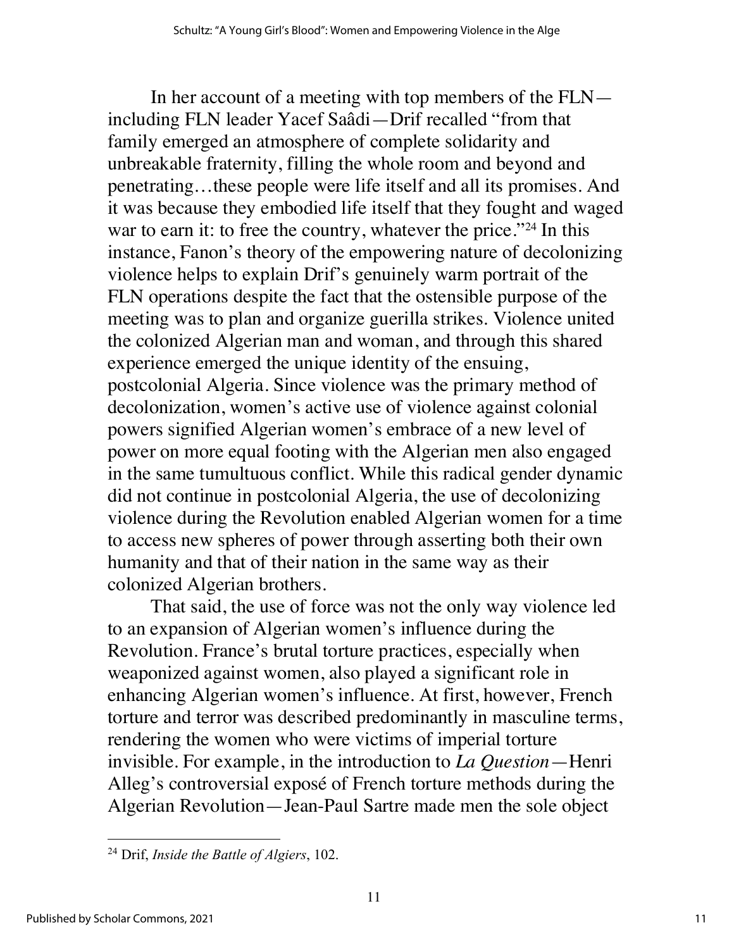In her account of a meeting with top members of the FLN including FLN leader Yacef Saâdi—Drif recalled "from that family emerged an atmosphere of complete solidarity and unbreakable fraternity, filling the whole room and beyond and penetrating…these people were life itself and all its promises. And it was because they embodied life itself that they fought and waged war to earn it: to free the country, whatever the price."<sup>24</sup> In this instance, Fanon's theory of the empowering nature of decolonizing violence helps to explain Drif's genuinely warm portrait of the FLN operations despite the fact that the ostensible purpose of the meeting was to plan and organize guerilla strikes. Violence united the colonized Algerian man and woman, and through this shared experience emerged the unique identity of the ensuing, postcolonial Algeria. Since violence was the primary method of decolonization, women's active use of violence against colonial powers signified Algerian women's embrace of a new level of power on more equal footing with the Algerian men also engaged in the same tumultuous conflict. While this radical gender dynamic did not continue in postcolonial Algeria, the use of decolonizing violence during the Revolution enabled Algerian women for a time to access new spheres of power through asserting both their own humanity and that of their nation in the same way as their colonized Algerian brothers.

That said, the use of force was not the only way violence led to an expansion of Algerian women's influence during the Revolution. France's brutal torture practices, especially when weaponized against women, also played a significant role in enhancing Algerian women's influence. At first, however, French torture and terror was described predominantly in masculine terms, rendering the women who were victims of imperial torture invisible. For example, in the introduction to *La Question*—Henri Alleg's controversial exposé of French torture methods during the Algerian Revolution—Jean-Paul Sartre made men the sole object

<sup>24</sup> Drif, *Inside the Battle of Algiers*, 102.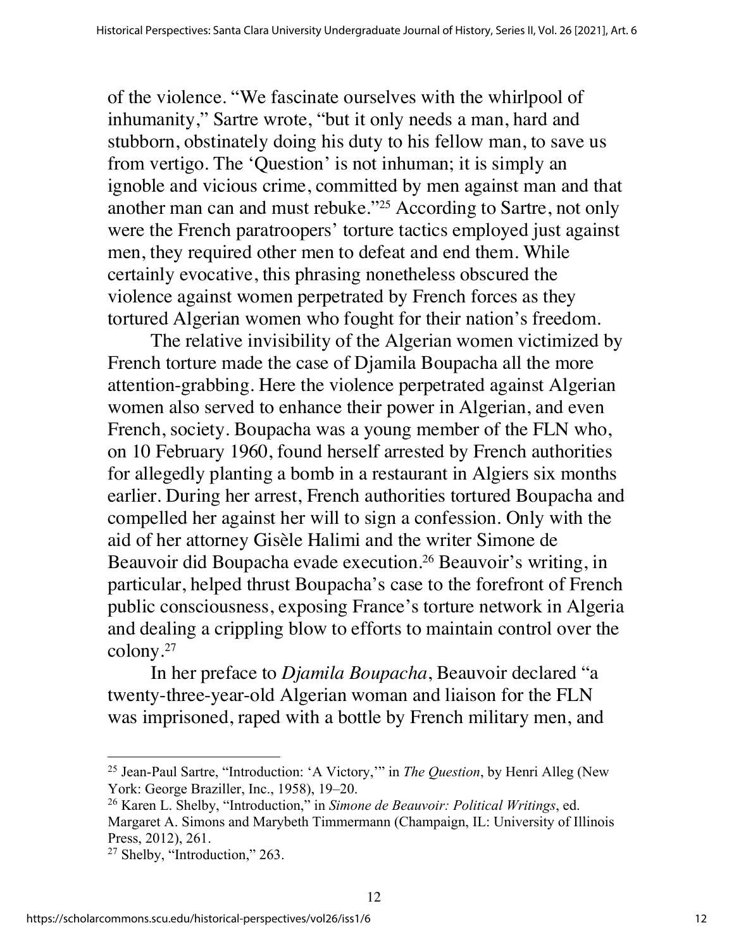of the violence. "We fascinate ourselves with the whirlpool of inhumanity," Sartre wrote, "but it only needs a man, hard and stubborn, obstinately doing his duty to his fellow man, to save us from vertigo. The 'Question' is not inhuman; it is simply an ignoble and vicious crime, committed by men against man and that another man can and must rebuke."25 According to Sartre, not only were the French paratroopers' torture tactics employed just against men, they required other men to defeat and end them. While certainly evocative, this phrasing nonetheless obscured the violence against women perpetrated by French forces as they tortured Algerian women who fought for their nation's freedom.

The relative invisibility of the Algerian women victimized by French torture made the case of Djamila Boupacha all the more attention-grabbing. Here the violence perpetrated against Algerian women also served to enhance their power in Algerian, and even French, society. Boupacha was a young member of the FLN who, on 10 February 1960, found herself arrested by French authorities for allegedly planting a bomb in a restaurant in Algiers six months earlier. During her arrest, French authorities tortured Boupacha and compelled her against her will to sign a confession. Only with the aid of her attorney Gisèle Halimi and the writer Simone de Beauvoir did Boupacha evade execution.26 Beauvoir's writing, in particular, helped thrust Boupacha's case to the forefront of French public consciousness, exposing France's torture network in Algeria and dealing a crippling blow to efforts to maintain control over the colony.27

In her preface to *Djamila Boupacha*, Beauvoir declared "a twenty-three-year-old Algerian woman and liaison for the FLN was imprisoned, raped with a bottle by French military men, and

<sup>25</sup> Jean-Paul Sartre, "Introduction: 'A Victory,'" in *The Question*, by Henri Alleg (New York: George Braziller, Inc., 1958), 19–20.

<sup>26</sup> Karen L. Shelby, "Introduction," in *Simone de Beauvoir: Political Writings*, ed. Margaret A. Simons and Marybeth Timmermann (Champaign, IL: University of Illinois Press, 2012), 261.

<sup>27</sup> Shelby, "Introduction," 263.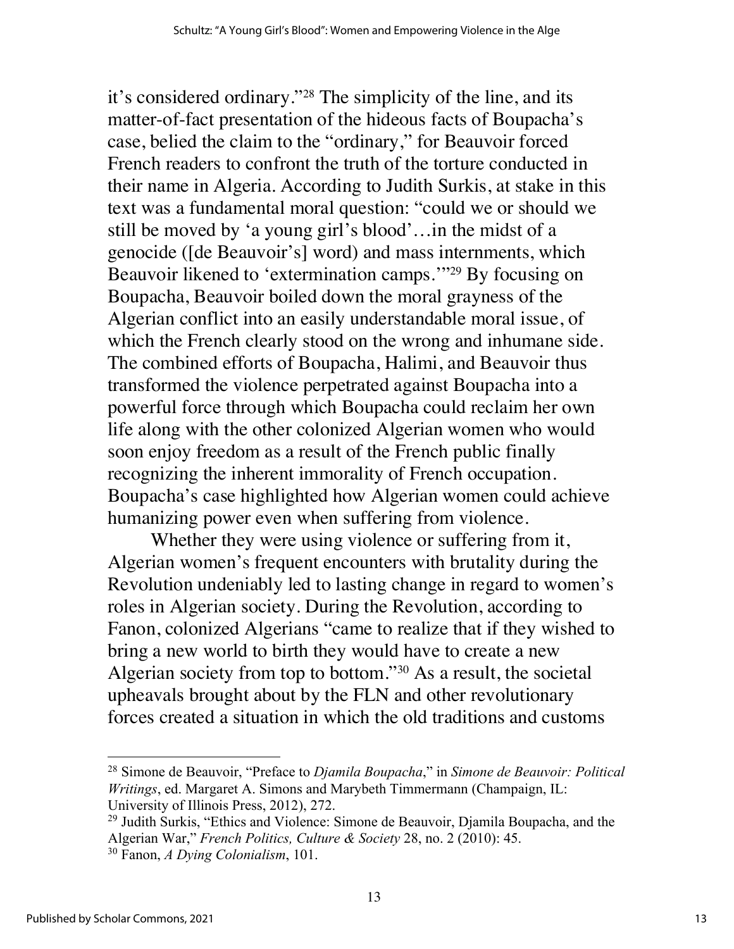it's considered ordinary."28 The simplicity of the line, and its matter-of-fact presentation of the hideous facts of Boupacha's case, belied the claim to the "ordinary," for Beauvoir forced French readers to confront the truth of the torture conducted in their name in Algeria. According to Judith Surkis, at stake in this text was a fundamental moral question: "could we or should we still be moved by 'a young girl's blood'…in the midst of a genocide ([de Beauvoir's] word) and mass internments, which Beauvoir likened to 'extermination camps.'"29 By focusing on Boupacha, Beauvoir boiled down the moral grayness of the Algerian conflict into an easily understandable moral issue, of which the French clearly stood on the wrong and inhumane side. The combined efforts of Boupacha, Halimi, and Beauvoir thus transformed the violence perpetrated against Boupacha into a powerful force through which Boupacha could reclaim her own life along with the other colonized Algerian women who would soon enjoy freedom as a result of the French public finally recognizing the inherent immorality of French occupation. Boupacha's case highlighted how Algerian women could achieve humanizing power even when suffering from violence.

Whether they were using violence or suffering from it, Algerian women's frequent encounters with brutality during the Revolution undeniably led to lasting change in regard to women's roles in Algerian society. During the Revolution, according to Fanon, colonized Algerians "came to realize that if they wished to bring a new world to birth they would have to create a new Algerian society from top to bottom."30 As a result, the societal upheavals brought about by the FLN and other revolutionary forces created a situation in which the old traditions and customs

<sup>28</sup> Simone de Beauvoir, "Preface to *Djamila Boupacha*," in *Simone de Beauvoir: Political Writings*, ed. Margaret A. Simons and Marybeth Timmermann (Champaign, IL: University of Illinois Press, 2012), 272.

<sup>&</sup>lt;sup>29</sup> Judith Surkis, "Ethics and Violence: Simone de Beauvoir, Djamila Boupacha, and the Algerian War," *French Politics, Culture & Society* 28, no. 2 (2010): 45.

<sup>30</sup> Fanon, *A Dying Colonialism*, 101.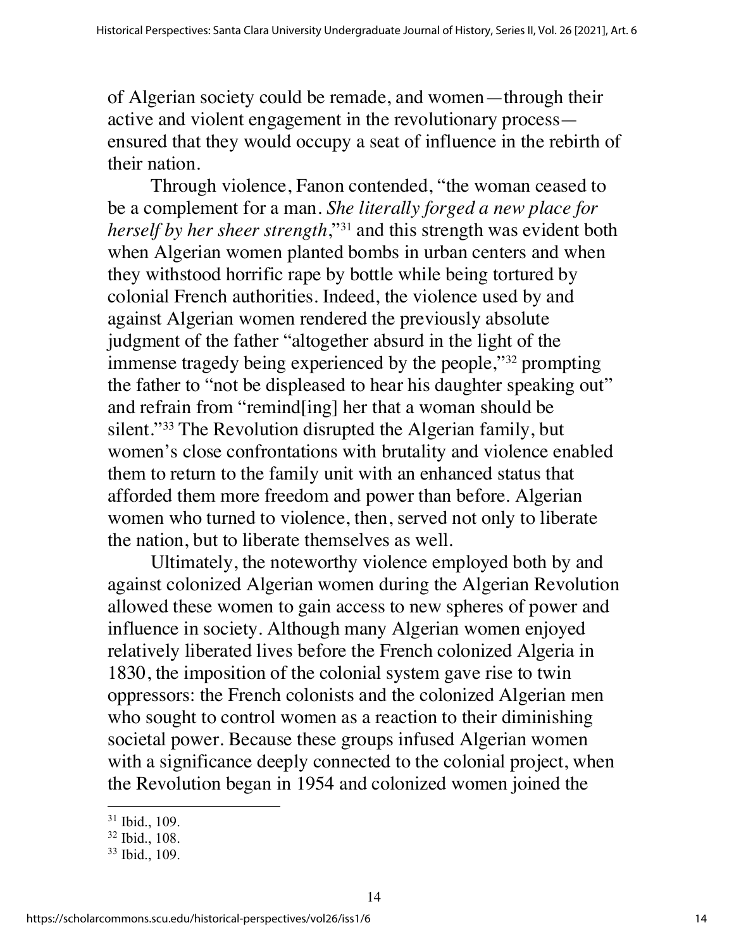of Algerian society could be remade, and women—through their active and violent engagement in the revolutionary process ensured that they would occupy a seat of influence in the rebirth of their nation.

Through violence, Fanon contended, "the woman ceased to be a complement for a man. *She literally forged a new place for herself by her sheer strength*,"31 and this strength was evident both when Algerian women planted bombs in urban centers and when they withstood horrific rape by bottle while being tortured by colonial French authorities. Indeed, the violence used by and against Algerian women rendered the previously absolute judgment of the father "altogether absurd in the light of the immense tragedy being experienced by the people,"32 prompting the father to "not be displeased to hear his daughter speaking out" and refrain from "remind[ing] her that a woman should be silent."<sup>33</sup> The Revolution disrupted the Algerian family, but women's close confrontations with brutality and violence enabled them to return to the family unit with an enhanced status that afforded them more freedom and power than before. Algerian women who turned to violence, then, served not only to liberate the nation, but to liberate themselves as well.

Ultimately, the noteworthy violence employed both by and against colonized Algerian women during the Algerian Revolution allowed these women to gain access to new spheres of power and influence in society. Although many Algerian women enjoyed relatively liberated lives before the French colonized Algeria in 1830, the imposition of the colonial system gave rise to twin oppressors: the French colonists and the colonized Algerian men who sought to control women as a reaction to their diminishing societal power. Because these groups infused Algerian women with a significance deeply connected to the colonial project, when the Revolution began in 1954 and colonized women joined the

<sup>31</sup> Ibid., 109.

<sup>32</sup> Ibid., 108.

<sup>33</sup> Ibid., 109.